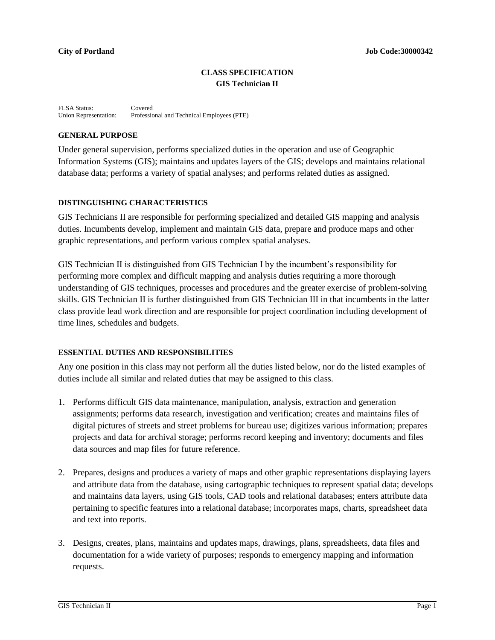# **CLASS SPECIFICATION GIS Technician II**

FLSA Status: Covered<br>Union Representation: Professie Professional and Technical Employees (PTE)

## **GENERAL PURPOSE**

Under general supervision, performs specialized duties in the operation and use of Geographic Information Systems (GIS); maintains and updates layers of the GIS; develops and maintains relational database data; performs a variety of spatial analyses; and performs related duties as assigned.

# **DISTINGUISHING CHARACTERISTICS**

GIS Technicians II are responsible for performing specialized and detailed GIS mapping and analysis duties. Incumbents develop, implement and maintain GIS data, prepare and produce maps and other graphic representations, and perform various complex spatial analyses.

GIS Technician II is distinguished from GIS Technician I by the incumbent's responsibility for performing more complex and difficult mapping and analysis duties requiring a more thorough understanding of GIS techniques, processes and procedures and the greater exercise of problem-solving skills. GIS Technician II is further distinguished from GIS Technician III in that incumbents in the latter class provide lead work direction and are responsible for project coordination including development of time lines, schedules and budgets.

## **ESSENTIAL DUTIES AND RESPONSIBILITIES**

Any one position in this class may not perform all the duties listed below, nor do the listed examples of duties include all similar and related duties that may be assigned to this class.

- 1. Performs difficult GIS data maintenance, manipulation, analysis, extraction and generation assignments; performs data research, investigation and verification; creates and maintains files of digital pictures of streets and street problems for bureau use; digitizes various information; prepares projects and data for archival storage; performs record keeping and inventory; documents and files data sources and map files for future reference.
- 2. Prepares, designs and produces a variety of maps and other graphic representations displaying layers and attribute data from the database, using cartographic techniques to represent spatial data; develops and maintains data layers, using GIS tools, CAD tools and relational databases; enters attribute data pertaining to specific features into a relational database; incorporates maps, charts, spreadsheet data and text into reports.
- 3. Designs, creates, plans, maintains and updates maps, drawings, plans, spreadsheets, data files and documentation for a wide variety of purposes; responds to emergency mapping and information requests.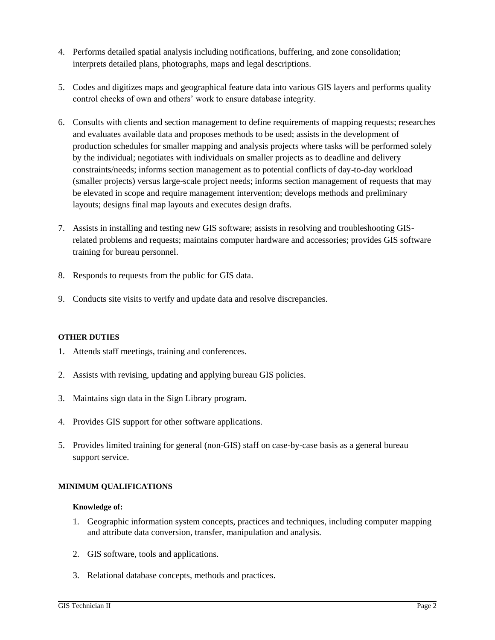- 4. Performs detailed spatial analysis including notifications, buffering, and zone consolidation; interprets detailed plans, photographs, maps and legal descriptions.
- 5. Codes and digitizes maps and geographical feature data into various GIS layers and performs quality control checks of own and others' work to ensure database integrity.
- 6. Consults with clients and section management to define requirements of mapping requests; researches and evaluates available data and proposes methods to be used; assists in the development of production schedules for smaller mapping and analysis projects where tasks will be performed solely by the individual; negotiates with individuals on smaller projects as to deadline and delivery constraints/needs; informs section management as to potential conflicts of day-to-day workload (smaller projects) versus large-scale project needs; informs section management of requests that may be elevated in scope and require management intervention; develops methods and preliminary layouts; designs final map layouts and executes design drafts.
- 7. Assists in installing and testing new GIS software; assists in resolving and troubleshooting GISrelated problems and requests; maintains computer hardware and accessories; provides GIS software training for bureau personnel.
- 8. Responds to requests from the public for GIS data.
- 9. Conducts site visits to verify and update data and resolve discrepancies.

#### **OTHER DUTIES**

- 1. Attends staff meetings, training and conferences.
- 2. Assists with revising, updating and applying bureau GIS policies.
- 3. Maintains sign data in the Sign Library program.
- 4. Provides GIS support for other software applications.
- 5. Provides limited training for general (non-GIS) staff on case-by-case basis as a general bureau support service.

## **MINIMUM QUALIFICATIONS**

#### **Knowledge of:**

- 1. Geographic information system concepts, practices and techniques, including computer mapping and attribute data conversion, transfer, manipulation and analysis.
- 2. GIS software, tools and applications.
- 3. Relational database concepts, methods and practices.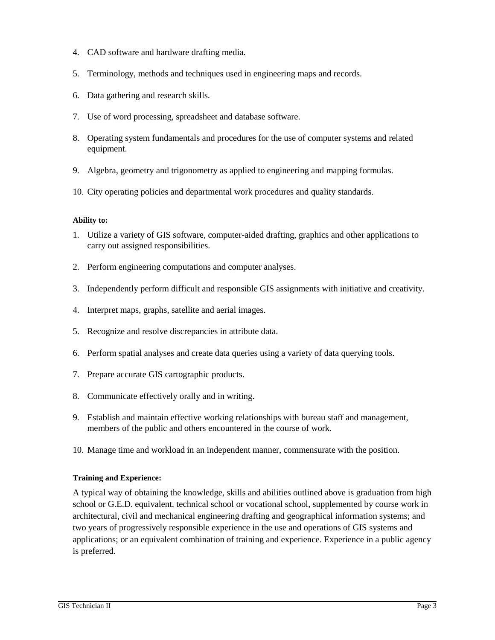- 4. CAD software and hardware drafting media.
- 5. Terminology, methods and techniques used in engineering maps and records.
- 6. Data gathering and research skills.
- 7. Use of word processing, spreadsheet and database software.
- 8. Operating system fundamentals and procedures for the use of computer systems and related equipment.
- 9. Algebra, geometry and trigonometry as applied to engineering and mapping formulas.
- 10. City operating policies and departmental work procedures and quality standards.

## **Ability to:**

- 1. Utilize a variety of GIS software, computer-aided drafting, graphics and other applications to carry out assigned responsibilities.
- 2. Perform engineering computations and computer analyses.
- 3. Independently perform difficult and responsible GIS assignments with initiative and creativity.
- 4. Interpret maps, graphs, satellite and aerial images.
- 5. Recognize and resolve discrepancies in attribute data.
- 6. Perform spatial analyses and create data queries using a variety of data querying tools.
- 7. Prepare accurate GIS cartographic products.
- 8. Communicate effectively orally and in writing.
- 9. Establish and maintain effective working relationships with bureau staff and management, members of the public and others encountered in the course of work.
- 10. Manage time and workload in an independent manner, commensurate with the position.

## **Training and Experience:**

A typical way of obtaining the knowledge, skills and abilities outlined above is graduation from high school or G.E.D. equivalent, technical school or vocational school, supplemented by course work in architectural, civil and mechanical engineering drafting and geographical information systems; and two years of progressively responsible experience in the use and operations of GIS systems and applications; or an equivalent combination of training and experience. Experience in a public agency is preferred.